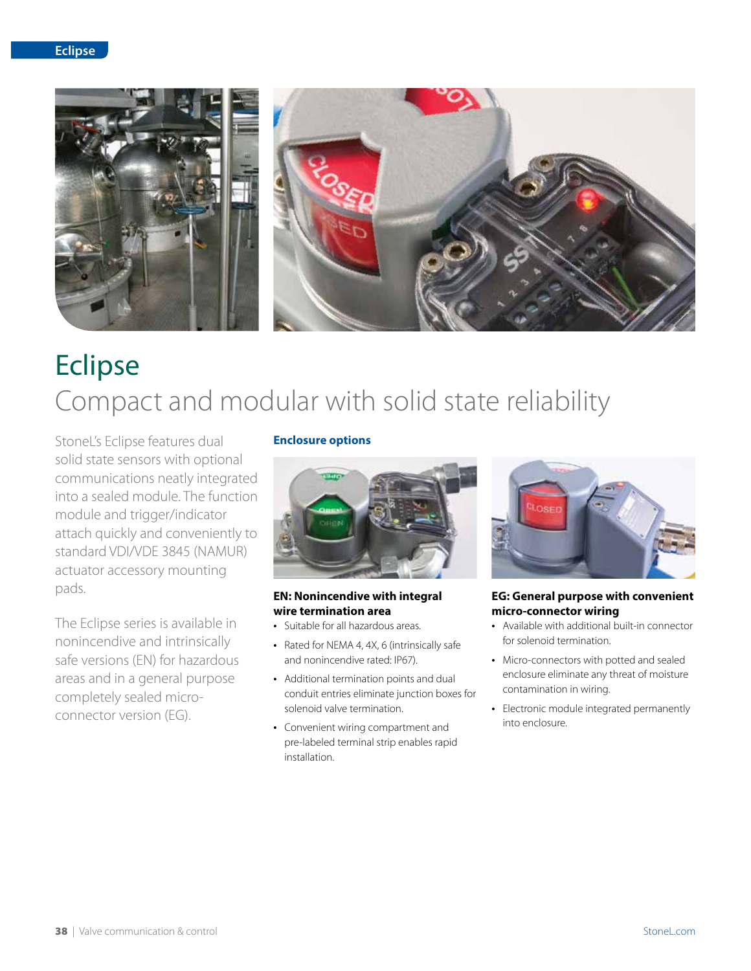

# Eclipse Compact and modular with solid state reliability

StoneL's Eclipse features dual solid state sensors with optional communications neatly integrated into a sealed module. The function module and trigger/indicator attach quickly and conveniently to standard VDI/VDE 3845 (NAMUR) actuator accessory mounting pads.

The Eclipse series is available in nonincendive and intrinsically safe versions (EN) for hazardous areas and in a general purpose completely sealed microconnector version (EG).

### **Enclosure options**



#### **EN: Nonincendive with integral wire termination area**

- Suitable for all hazardous areas.
- Rated for NEMA 4, 4X, 6 (intrinsically safe and nonincendive rated: IP67).
- Additional termination points and dual conduit entries eliminate junction boxes for solenoid valve termination.
- Convenient wiring compartment and pre-labeled terminal strip enables rapid installation.



#### **EG: General purpose with convenient micro-connector wiring**

- Available with additional built-in connector for solenoid termination.
- Micro-connectors with potted and sealed enclosure eliminate any threat of moisture contamination in wiring.
- Electronic module integrated permanently into enclosure.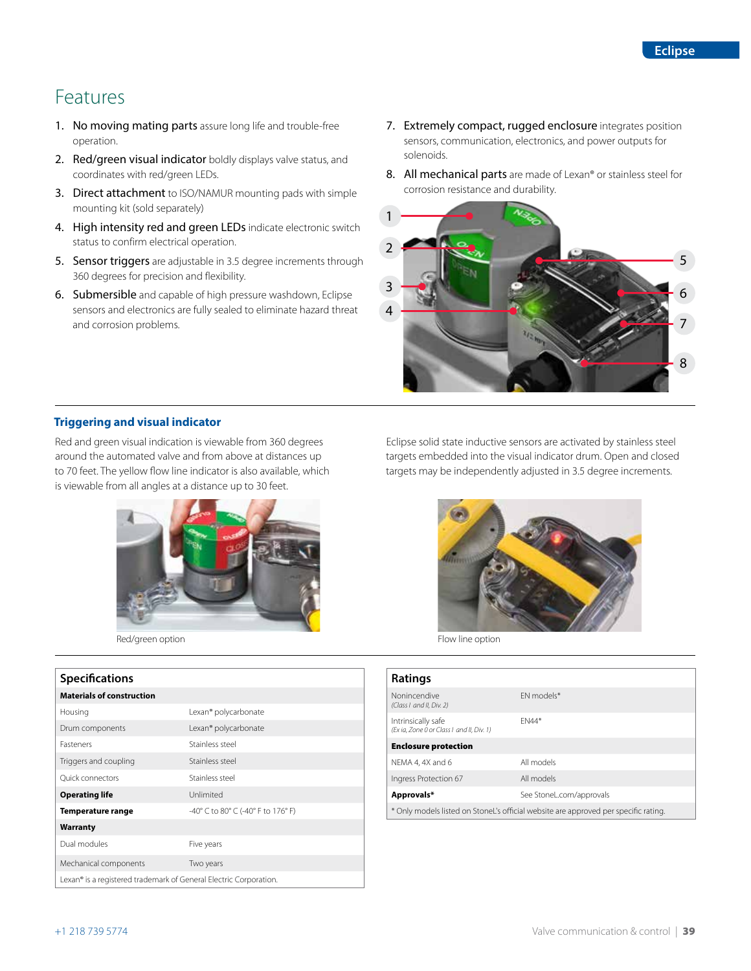# Features

- 1. No moving mating parts assure long life and trouble-free operation.
- 2. Red/green visual indicator boldly displays valve status, and coordinates with red/green LEDs.
- 3. Direct attachment to ISO/NAMUR mounting pads with simple mounting kit (sold separately)
- 4. High intensity red and green LEDs indicate electronic switch status to confirm electrical operation.
- 5. Sensor triggers are adjustable in 3.5 degree increments through 360 degrees for precision and flexibility.
- 6. Submersible and capable of high pressure washdown, Eclipse sensors and electronics are fully sealed to eliminate hazard threat and corrosion problems.
- 7. Extremely compact, rugged enclosure integrates position sensors, communication, electronics, and power outputs for solenoids.
- 8. All mechanical parts are made of Lexan® or stainless steel for corrosion resistance and durability.



#### **Triggering and visual indicator**

Red and green visual indication is viewable from 360 degrees around the automated valve and from above at distances up to 70 feet. The yellow flow line indicator is also available, which is viewable from all angles at a distance up to 30 feet.



Red/green option **Flow line option** 

# **Specifications**

| <b>Materials of construction</b>                                  |                                    |
|-------------------------------------------------------------------|------------------------------------|
| Housing                                                           | Lexan <sup>®</sup> polycarbonate   |
| Drum components                                                   | Lexan® polycarbonate               |
| <b>Fasteners</b>                                                  | Stainless steel                    |
| Triggers and coupling                                             | Stainless steel                    |
| <b>Ouick connectors</b>                                           | Stainless steel                    |
| <b>Operating life</b>                                             | Unlimited                          |
| Temperature range                                                 | -40° C to 80° C (-40° F to 176° F) |
| <b>Warranty</b>                                                   |                                    |
| Dual modules                                                      | Five years                         |
| Mechanical components                                             | Two years                          |
| Lexan® is a registered trademark of General Electric Corporation. |                                    |

Eclipse solid state inductive sensors are activated by stainless steel targets embedded into the visual indicator drum. Open and closed targets may be independently adjusted in 3.5 degree increments.



| Ratings                                                                             |              |  |  |  |  |  |
|-------------------------------------------------------------------------------------|--------------|--|--|--|--|--|
| Nonincendive<br>(Class Land II, Div. 2)                                             | FN models*   |  |  |  |  |  |
| Intrinsically safe<br>(Ex ia, Zone 0 or Class Land II, Div. 1)                      | <b>FN44*</b> |  |  |  |  |  |
| <b>Enclosure protection</b>                                                         |              |  |  |  |  |  |
| NEMA 4.4X and 6                                                                     | All models   |  |  |  |  |  |
| Ingress Protection 67                                                               | All models   |  |  |  |  |  |
| Approvals*<br>See StoneL.com/approvals                                              |              |  |  |  |  |  |
| * Only models listed on StoneL's official website are approved per specific rating. |              |  |  |  |  |  |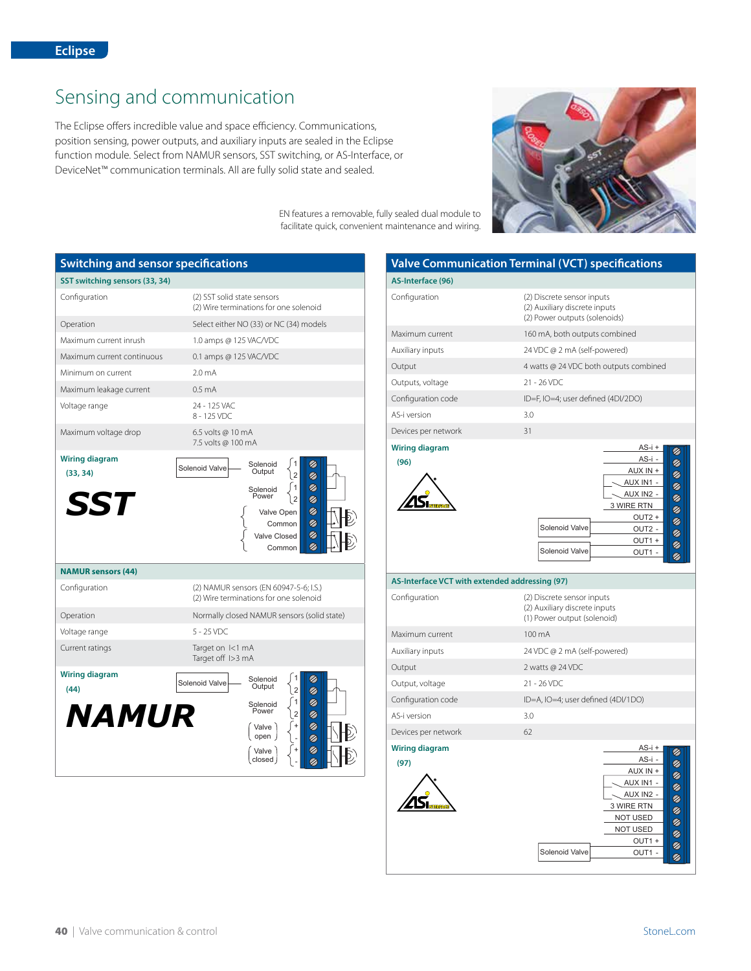# Sensing and communication

The Eclipse offers incredible value and space efficiency. Communications, position sensing, power outputs, and auxiliary inputs are sealed in the Eclipse function module. Select from NAMUR sensors, SST switching, or AS-Interface, or DeviceNet™ communication terminals. All are fully solid state and sealed.



EN features a removable, fully sealed dual module to facilitate quick, convenient maintenance and wiring.

| <b>Switching and sensor specifications</b>      |                                                                                                                                                                                                         |  |  |  |  |  |  |  |
|-------------------------------------------------|---------------------------------------------------------------------------------------------------------------------------------------------------------------------------------------------------------|--|--|--|--|--|--|--|
| SST switching sensors (33, 34)                  |                                                                                                                                                                                                         |  |  |  |  |  |  |  |
| Configuration                                   | (2) SST solid state sensors<br>(2) Wire terminations for one solenoid                                                                                                                                   |  |  |  |  |  |  |  |
| Operation                                       | Select either NO (33) or NC (34) models                                                                                                                                                                 |  |  |  |  |  |  |  |
| Maximum current inrush                          | 1.0 amps @ 125 VAC/VDC                                                                                                                                                                                  |  |  |  |  |  |  |  |
| Maximum current continuous                      | 0.1 amps @ 125 VAC/VDC                                                                                                                                                                                  |  |  |  |  |  |  |  |
| Minimum on current                              | 2.0 <sub>m</sub> A                                                                                                                                                                                      |  |  |  |  |  |  |  |
| Maximum leakage current                         | 0.5 <sub>m</sub> A                                                                                                                                                                                      |  |  |  |  |  |  |  |
| Voltage range                                   | 24 - 125 VAC<br>8 - 125 VDC                                                                                                                                                                             |  |  |  |  |  |  |  |
| Maximum voltage drop                            | 6.5 volts @ 10 mA<br>7.5 volts @ 100 mA                                                                                                                                                                 |  |  |  |  |  |  |  |
| <b>Wiring diagram</b><br>(33, 34)<br><b>SST</b> | Solenoid<br>Ø<br>Solenoid Valve<br>Output<br>$\overline{2}$<br>Ø<br>Ø<br>$\mathbf{1}$<br>Solenoid<br>Power<br>Ø<br>$\overline{2}$<br>Ø<br>Valve Open<br>Ø<br>Common<br>Ø<br>Valve Closed<br>Ø<br>Common |  |  |  |  |  |  |  |
| <b>NAMUR sensors (44)</b>                       |                                                                                                                                                                                                         |  |  |  |  |  |  |  |
| Configuration                                   | (2) NAMUR sensors (EN 60947-5-6; I.S.)<br>(2) Wire terminations for one solenoid                                                                                                                        |  |  |  |  |  |  |  |
| Operation                                       | Normally closed NAMUR sensors (solid state)                                                                                                                                                             |  |  |  |  |  |  |  |
| Voltage range                                   | $5 - 25$ VDC                                                                                                                                                                                            |  |  |  |  |  |  |  |
| Current ratings                                 | Target on I<1 mA<br>Target off 1>3 mA                                                                                                                                                                   |  |  |  |  |  |  |  |
| <b>Wiring diagram</b><br>(44)<br><b>NAMUR</b>   | Ø<br>Solenoid<br>Solenoid Valve<br>Output<br>Ø<br>$\overline{2}$<br>Ø<br>1<br>Solenoid<br>Power<br>Ø<br>$\overline{2}$<br>Ø<br>Valve<br>open<br>Ø<br>Ø<br>Valve<br>closed                               |  |  |  |  |  |  |  |

# **Valve Communication Terminal (VCT) specifications**

| AS-Interface (96)             |                                                                                                                                                                                             |  |  |  |  |  |  |
|-------------------------------|---------------------------------------------------------------------------------------------------------------------------------------------------------------------------------------------|--|--|--|--|--|--|
| Configuration                 | (2) Discrete sensor inputs<br>(2) Auxiliary discrete inputs<br>(2) Power outputs (solenoids)                                                                                                |  |  |  |  |  |  |
| Maximum current               | 160 mA, both outputs combined                                                                                                                                                               |  |  |  |  |  |  |
| Auxiliary inputs              | 24 VDC @ 2 mA (self-powered)                                                                                                                                                                |  |  |  |  |  |  |
| Output                        | 4 watts @ 24 VDC both outputs combined                                                                                                                                                      |  |  |  |  |  |  |
| Outputs, voltage              | $21 - 26$ VDC                                                                                                                                                                               |  |  |  |  |  |  |
| Configuration code            | ID=F, IO=4; user defined (4DI/2DO)                                                                                                                                                          |  |  |  |  |  |  |
| AS-i version                  | 3.0                                                                                                                                                                                         |  |  |  |  |  |  |
| Devices per network           | 31                                                                                                                                                                                          |  |  |  |  |  |  |
| <b>Wiring diagram</b><br>(96) | $AS-i +$<br>あるるる<br>AS-i -<br>AUX IN +<br>AUX IN1 -<br>AUX IN2 -<br>3 WIRE RTN<br>0<br>0<br>$OUT2 +$<br>Solenoid Valve<br>OUT <sub>2</sub> -<br>B<br>B<br>OUT1+<br>Solenoid Valve<br>OUT1 - |  |  |  |  |  |  |

| AS-Interface VCT with extended addressing (97) |                                                                                                                                          |                         |  |  |  |  |  |  |
|------------------------------------------------|------------------------------------------------------------------------------------------------------------------------------------------|-------------------------|--|--|--|--|--|--|
| Configuration                                  | (2) Discrete sensor inputs<br>(2) Auxiliary discrete inputs<br>(1) Power output (solenoid)                                               |                         |  |  |  |  |  |  |
| Maximum current                                | 100 mA                                                                                                                                   |                         |  |  |  |  |  |  |
| Auxiliary inputs                               | 24 VDC @ 2 mA (self-powered)                                                                                                             |                         |  |  |  |  |  |  |
| Output                                         | 2 watts @ 24 VDC                                                                                                                         |                         |  |  |  |  |  |  |
| Output, voltage                                | $21 - 26$ VDC                                                                                                                            |                         |  |  |  |  |  |  |
| Configuration code                             | ID=A, IO=4; user defined (4DI/1DO)                                                                                                       |                         |  |  |  |  |  |  |
| AS-i version                                   | 3.0                                                                                                                                      |                         |  |  |  |  |  |  |
| Devices per network                            | 62                                                                                                                                       |                         |  |  |  |  |  |  |
| <b>Wiring diagram</b><br>(97)                  | $AS-i +$<br>AS-i -<br>AUX IN +<br>AUX IN1 -<br>AUX IN2 -<br>3 WIRE RTN<br><b>NOT USED</b><br><b>NOT USED</b><br>OUT1 +<br>Solenoid Valve | ののの<br>Ø<br>Ø<br>Ø<br>Ø |  |  |  |  |  |  |
|                                                | OUT1 -                                                                                                                                   | Ø                       |  |  |  |  |  |  |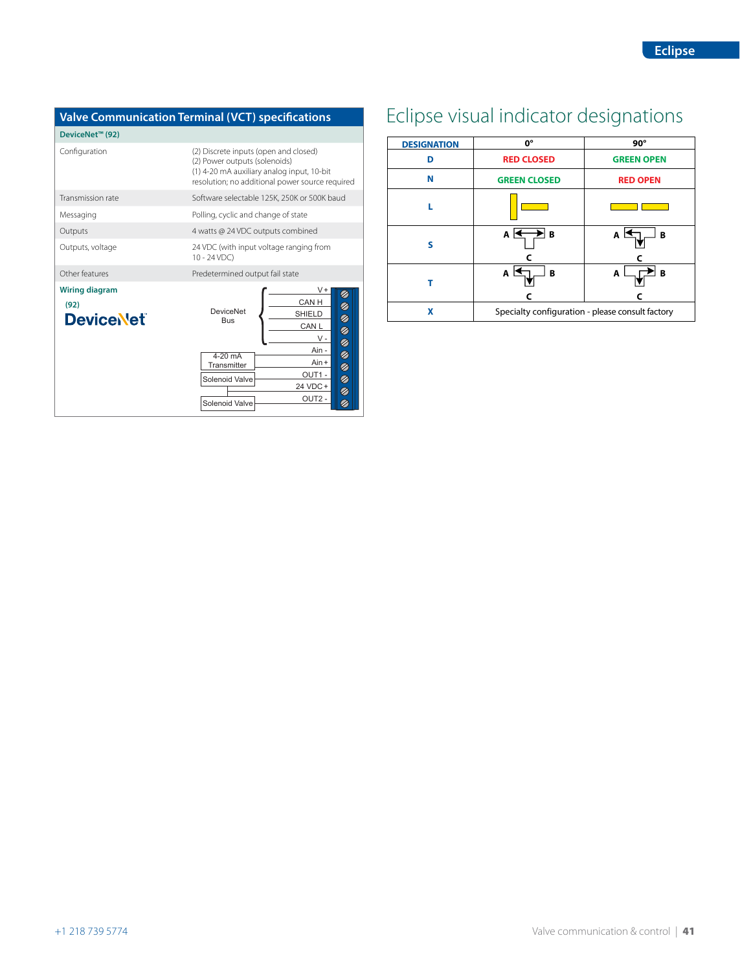### **DeviceNet™ (92)**

| Configuration                                     | (2) Discrete inputs (open and closed)<br>(2) Power outputs (solenoids)<br>(1) 4-20 mA auxiliary analog input, 10-bit<br>resolution; no additional power source required                                         |  |  |  |  |  |  |
|---------------------------------------------------|-----------------------------------------------------------------------------------------------------------------------------------------------------------------------------------------------------------------|--|--|--|--|--|--|
| Transmission rate                                 | Software selectable 125K, 250K or 500K baud                                                                                                                                                                     |  |  |  |  |  |  |
| Messaging                                         | Polling, cyclic and change of state                                                                                                                                                                             |  |  |  |  |  |  |
| Outputs                                           | 4 watts @ 24 VDC outputs combined                                                                                                                                                                               |  |  |  |  |  |  |
| Outputs, voltage                                  | 24 VDC (with input voltage ranging from<br>$10 - 24 VDC$                                                                                                                                                        |  |  |  |  |  |  |
| Other features                                    | Predetermined output fail state                                                                                                                                                                                 |  |  |  |  |  |  |
| <b>Wiring diagram</b><br>(92)<br><b>DeviceNet</b> | V+<br>CAN H<br>Ø<br><b>DeviceNet</b><br><b>SHIELD</b><br>$\overline{\mathfrak{D}}$<br><b>Bus</b><br>CAN L<br>⊘<br>٧-<br>$\overline{\mathscr{D}}$                                                                |  |  |  |  |  |  |
|                                                   | Ain -<br>$\overline{\mathscr{D}}$<br>$4-20$ mA<br>Ain +<br>Transmitter<br>⊘<br>OUT1-<br>$\overline{\mathscr{D}}$<br>Solenoid Valve<br>24 VDC+<br>$\overline{\mathscr{D}}$<br>OUT <sub>2</sub><br>Solenoid Valve |  |  |  |  |  |  |

# **Valve Communication Terminal (VCT) specifications** Eclipse visual indicator designations

<span id="page-3-0"></span>

| <b>DESIGNATION</b> | 0°                                               | $90^\circ$        |  |  |  |  |
|--------------------|--------------------------------------------------|-------------------|--|--|--|--|
| D                  | <b>RED CLOSED</b>                                | <b>GREEN OPEN</b> |  |  |  |  |
| N                  | <b>GREEN CLOSED</b>                              | <b>RED OPEN</b>   |  |  |  |  |
| п                  |                                                  |                   |  |  |  |  |
| S                  | Αŀ<br>в                                          | A<br>B            |  |  |  |  |
|                    | A<br>в                                           | B<br>A            |  |  |  |  |
| X                  | Specialty configuration - please consult factory |                   |  |  |  |  |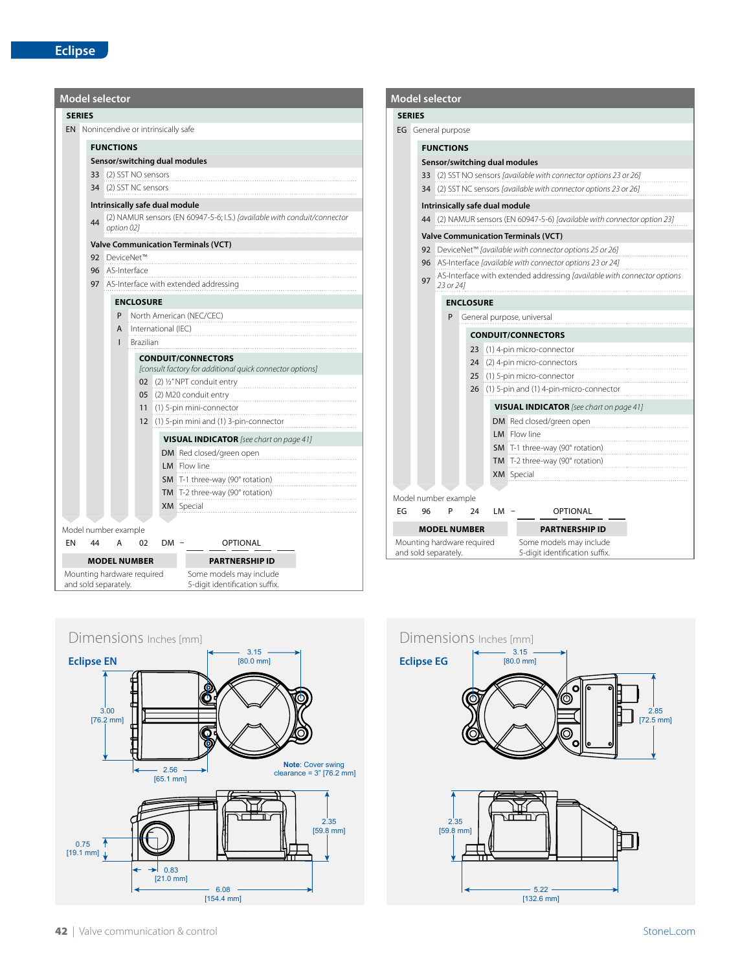| <b>Model selector</b>                              |                                            |                                                                          |        |                                                          |  |                                                           |  |  |  |  |               |    | <b>Model selector</b>                              |           |             |
|----------------------------------------------------|--------------------------------------------|--------------------------------------------------------------------------|--------|----------------------------------------------------------|--|-----------------------------------------------------------|--|--|--|--|---------------|----|----------------------------------------------------|-----------|-------------|
| <b>SERIES</b>                                      |                                            |                                                                          |        |                                                          |  |                                                           |  |  |  |  | <b>SERIES</b> |    |                                                    |           |             |
| <b>EN</b> Nonincendive or intrinsically safe       |                                            |                                                                          |        |                                                          |  |                                                           |  |  |  |  |               |    | <b>EG</b> General purpose                          |           |             |
|                                                    | <b>FUNCTIONS</b>                           |                                                                          |        |                                                          |  |                                                           |  |  |  |  |               |    | <b>FUNCTIONS</b>                                   |           |             |
|                                                    | Sensor/switching dual modules              |                                                                          |        |                                                          |  |                                                           |  |  |  |  |               |    | Sensor/switching d                                 |           |             |
|                                                    | 33 (2) SST NO sensors                      |                                                                          |        |                                                          |  |                                                           |  |  |  |  |               |    | 33 (2) SST NO senso                                |           |             |
|                                                    | 34 (2) SST NC sensors                      |                                                                          |        |                                                          |  |                                                           |  |  |  |  |               |    | 34 (2) SST NC senso                                |           |             |
|                                                    | Intrinsically safe dual module             |                                                                          |        |                                                          |  |                                                           |  |  |  |  |               |    | Intrinsically safe du                              |           |             |
| 44                                                 | option 021                                 | (2) NAMUR sensors (EN 60947-5-6; I.S.) [available with conduit/connector |        |                                                          |  |                                                           |  |  |  |  |               |    | 44 (2) NAMUR sense                                 |           |             |
|                                                    | <b>Valve Communication Terminals (VCT)</b> |                                                                          |        |                                                          |  |                                                           |  |  |  |  |               |    | <b>Valve Communicati</b>                           |           |             |
|                                                    | 92 DeviceNet™                              |                                                                          |        |                                                          |  |                                                           |  |  |  |  |               |    | 92 DeviceNet™ favo                                 |           |             |
|                                                    | 96 AS-Interface                            |                                                                          |        |                                                          |  |                                                           |  |  |  |  |               |    | 96 AS-Interface Java<br>AS-Interface witl          |           |             |
|                                                    | 97 AS-Interface with extended addressing   |                                                                          |        |                                                          |  |                                                           |  |  |  |  |               | 97 | 23 or 241                                          |           |             |
|                                                    |                                            | <b>ENCLOSURE</b>                                                         |        |                                                          |  |                                                           |  |  |  |  |               |    | <b>ENCLOSURE</b>                                   |           |             |
|                                                    | P                                          |                                                                          |        | North American (NEC/CEC)                                 |  |                                                           |  |  |  |  |               |    | P                                                  | General p |             |
|                                                    | A                                          | International (IEC)                                                      |        |                                                          |  |                                                           |  |  |  |  |               |    |                                                    |           | <b>COND</b> |
|                                                    | $\mathbf{I}$                               | Brazilian                                                                |        |                                                          |  |                                                           |  |  |  |  |               |    |                                                    |           | 23(1)       |
|                                                    |                                            |                                                                          |        | <b>CONDUIT/CONNECTORS</b>                                |  |                                                           |  |  |  |  |               |    |                                                    |           | 24(2)       |
|                                                    |                                            |                                                                          |        | [consult factory for additional quick connector options] |  |                                                           |  |  |  |  |               |    |                                                    |           | 25(1)       |
|                                                    |                                            |                                                                          |        | 02 (2) 1/2" NPT conduit entry                            |  |                                                           |  |  |  |  |               |    |                                                    |           | $26$ (1)    |
|                                                    |                                            |                                                                          |        | 05 (2) M20 conduit entry<br>11 (1) 5-pin mini-connector  |  |                                                           |  |  |  |  |               |    |                                                    |           |             |
|                                                    |                                            |                                                                          |        | 12 (1) 5-pin mini and (1) 3-pin-connector                |  |                                                           |  |  |  |  |               |    |                                                    |           |             |
|                                                    |                                            |                                                                          |        |                                                          |  |                                                           |  |  |  |  |               |    |                                                    |           |             |
|                                                    |                                            |                                                                          |        | <b>VISUAL INDICATOR</b> [see chart on page 41]           |  |                                                           |  |  |  |  |               |    |                                                    |           |             |
|                                                    |                                            |                                                                          |        | DM Red closed/green open<br>LM Flow line                 |  |                                                           |  |  |  |  |               |    |                                                    |           |             |
|                                                    |                                            |                                                                          |        | SM T-1 three-way (90° rotation)                          |  |                                                           |  |  |  |  |               |    |                                                    |           |             |
|                                                    |                                            |                                                                          |        | TM T-2 three-way (90° rotation)                          |  |                                                           |  |  |  |  |               |    |                                                    |           |             |
|                                                    |                                            |                                                                          |        | XM Special                                               |  |                                                           |  |  |  |  |               |    | Model number example                               |           |             |
|                                                    |                                            |                                                                          |        |                                                          |  |                                                           |  |  |  |  | EG            | 96 | P                                                  | 24        |             |
| Model number example                               |                                            |                                                                          |        |                                                          |  |                                                           |  |  |  |  |               |    | <b>MODEL NUMBER</b>                                |           |             |
| EN<br>44                                           | A                                          | 02                                                                       | $DM -$ |                                                          |  | <b>OPTIONAL</b>                                           |  |  |  |  |               |    | Mounting hardware required<br>and sold separately. |           |             |
|                                                    | <b>MODEL NUMBER</b>                        |                                                                          |        |                                                          |  | <b>PARTNERSHIP ID</b>                                     |  |  |  |  |               |    |                                                    |           |             |
| Mounting hardware required<br>and sold separately. |                                            |                                                                          |        |                                                          |  | Some models may include<br>5-digit identification suffix. |  |  |  |  |               |    |                                                    |           |             |
|                                                    |                                            |                                                                          |        |                                                          |  |                                                           |  |  |  |  |               |    |                                                    |           |             |